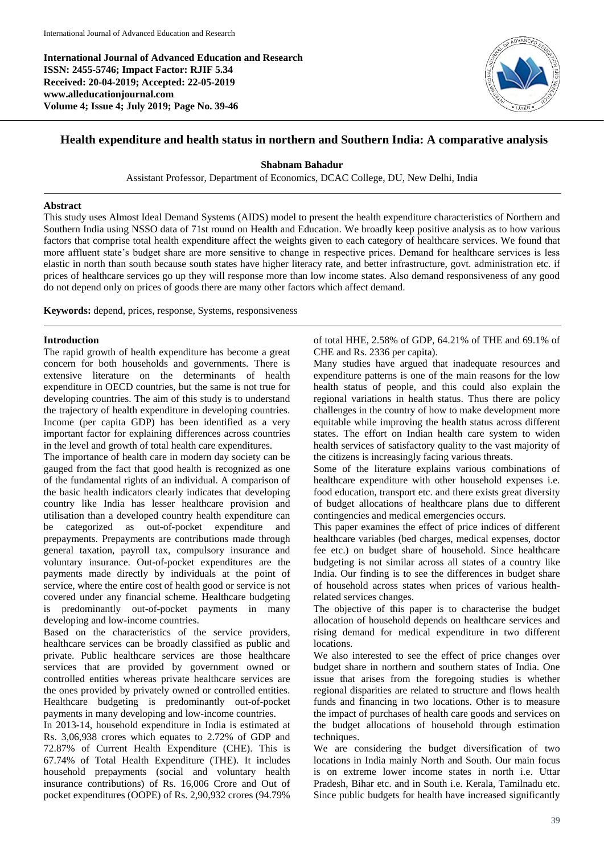**International Journal of Advanced Education and Research ISSN: 2455-5746; Impact Factor: RJIF 5.34 Received: 20-04-2019; Accepted: 22-05-2019 www.alleducationjournal.com Volume 4; Issue 4; July 2019; Page No. 39-46**



# **Health expenditure and health status in northern and Southern India: A comparative analysis**

## **Shabnam Bahadur**

Assistant Professor, Department of Economics, DCAC College, DU, New Delhi, India

## **Abstract**

This study uses Almost Ideal Demand Systems (AIDS) model to present the health expenditure characteristics of Northern and Southern India using NSSO data of 71st round on Health and Education. We broadly keep positive analysis as to how various factors that comprise total health expenditure affect the weights given to each category of healthcare services. We found that more affluent state's budget share are more sensitive to change in respective prices. Demand for healthcare services is less elastic in north than south because south states have higher literacy rate, and better infrastructure, govt. administration etc. if prices of healthcare services go up they will response more than low income states. Also demand responsiveness of any good do not depend only on prices of goods there are many other factors which affect demand.

**Keywords:** depend, prices, response, Systems, responsiveness

## **Introduction**

The rapid growth of health expenditure has become a great concern for both households and governments. There is extensive literature on the determinants of health expenditure in OECD countries, but the same is not true for developing countries. The aim of this study is to understand the trajectory of health expenditure in developing countries. Income (per capita GDP) has been identified as a very important factor for explaining differences across countries in the level and growth of total health care expenditures.

The importance of health care in modern day society can be gauged from the fact that good health is recognized as one of the fundamental rights of an individual. A comparison of the basic health indicators clearly indicates that developing country like India has lesser healthcare provision and utilisation than a developed country health expenditure can be categorized as out-of-pocket expenditure and prepayments. Prepayments are contributions made through general taxation, payroll tax, compulsory insurance and voluntary insurance. Out-of-pocket expenditures are the payments made directly by individuals at the point of service, where the entire cost of health good or service is not covered under any financial scheme. Healthcare budgeting is predominantly out-of-pocket payments in many developing and low-income countries.

Based on the characteristics of the service providers, healthcare services can be broadly classified as public and private. Public healthcare services are those healthcare services that are provided by government owned or controlled entities whereas private healthcare services are the ones provided by privately owned or controlled entities. Healthcare budgeting is predominantly out-of-pocket payments in many developing and low-income countries.

In 2013-14, household expenditure in India is estimated at Rs. 3,06,938 crores which equates to 2.72% of GDP and 72.87% of Current Health Expenditure (CHE). This is 67.74% of Total Health Expenditure (THE). It includes household prepayments (social and voluntary health insurance contributions) of Rs. 16,006 Crore and Out of pocket expenditures (OOPE) of Rs. 2,90,932 crores (94.79%

of total HHE, 2.58% of GDP, 64.21% of THE and 69.1% of CHE and Rs. 2336 per capita).

Many studies have argued that inadequate resources and expenditure patterns is one of the main reasons for the low health status of people, and this could also explain the regional variations in health status. Thus there are policy challenges in the country of how to make development more equitable while improving the health status across different states. The effort on Indian health care system to widen health services of satisfactory quality to the vast majority of the citizens is increasingly facing various threats.

Some of the literature explains various combinations of healthcare expenditure with other household expenses i.e. food education, transport etc. and there exists great diversity of budget allocations of healthcare plans due to different contingencies and medical emergencies occurs.

This paper examines the effect of price indices of different healthcare variables (bed charges, medical expenses, doctor fee etc.) on budget share of household. Since healthcare budgeting is not similar across all states of a country like India. Our finding is to see the differences in budget share of household across states when prices of various healthrelated services changes.

The objective of this paper is to characterise the budget allocation of household depends on healthcare services and rising demand for medical expenditure in two different locations.

We also interested to see the effect of price changes over budget share in northern and southern states of India. One issue that arises from the foregoing studies is whether regional disparities are related to structure and flows health funds and financing in two locations. Other is to measure the impact of purchases of health care goods and services on the budget allocations of household through estimation techniques.

We are considering the budget diversification of two locations in India mainly North and South. Our main focus is on extreme lower income states in north i.e. Uttar Pradesh, Bihar etc. and in South i.e. Kerala, Tamilnadu etc. Since public budgets for health have increased significantly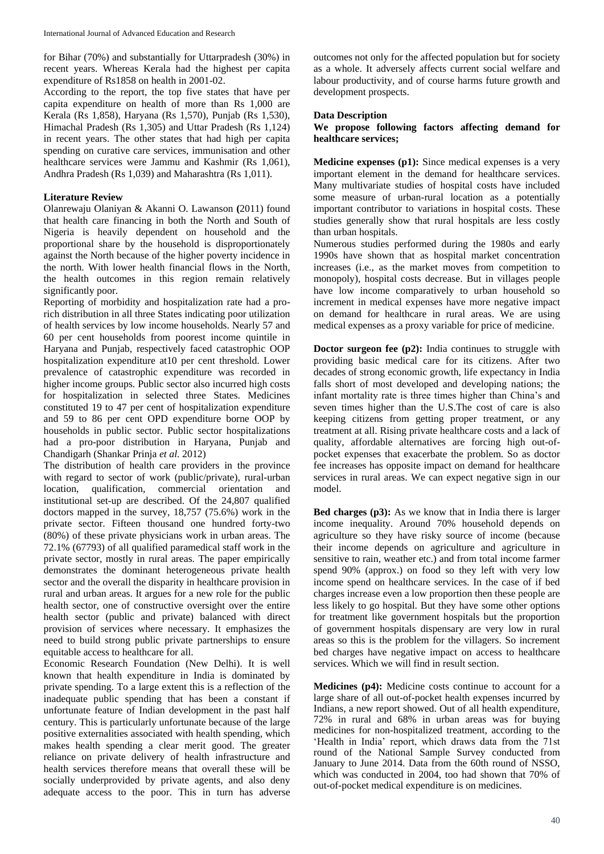for Bihar (70%) and substantially for Uttarpradesh (30%) in recent years. Whereas Kerala had the highest per capita expenditure of Rs1858 on health in 2001-02.

According to the report, the top five states that have per capita expenditure on health of more than Rs 1,000 are Kerala (Rs 1,858), Haryana (Rs 1,570), Punjab (Rs 1,530), Himachal Pradesh (Rs 1,305) and Uttar Pradesh (Rs 1,124) in recent years. The other states that had high per capita spending on curative care services, immunisation and other healthcare services were Jammu and Kashmir (Rs 1,061), Andhra Pradesh (Rs 1,039) and Maharashtra (Rs 1,011).

# **Literature Review**

Olanrewaju Olaniyan & Akanni O. Lawanson **(**2011) found that health care financing in both the North and South of Nigeria is heavily dependent on household and the proportional share by the household is disproportionately against the North because of the higher poverty incidence in the north. With lower health financial flows in the North, the health outcomes in this region remain relatively significantly poor.

Reporting of morbidity and hospitalization rate had a prorich distribution in all three States indicating poor utilization of health services by low income households. Nearly 57 and 60 per cent households from poorest income quintile in Haryana and Punjab, respectively faced catastrophic OOP hospitalization expenditure at10 per cent threshold. Lower prevalence of catastrophic expenditure was recorded in higher income groups. Public sector also incurred high costs for hospitalization in selected three States. Medicines constituted 19 to 47 per cent of hospitalization expenditure and 59 to 86 per cent OPD expenditure borne OOP by households in public sector. Public sector hospitalizations had a pro-poor distribution in Haryana, Punjab and Chandigarh (Shankar Prinja *et al.* 2012)

The distribution of health care providers in the province with regard to sector of work (public/private), rural-urban location, qualification, commercial orientation and institutional set-up are described. Of the 24,807 qualified doctors mapped in the survey, 18,757 (75.6%) work in the private sector. Fifteen thousand one hundred forty-two (80%) of these private physicians work in urban areas. The 72.1% (67793) of all qualified paramedical staff work in the private sector, mostly in rural areas. The paper empirically demonstrates the dominant heterogeneous private health sector and the overall the disparity in healthcare provision in rural and urban areas. It argues for a new role for the public health sector, one of constructive oversight over the entire health sector (public and private) balanced with direct provision of services where necessary. It emphasizes the need to build strong public private partnerships to ensure equitable access to healthcare for all.

Economic Research Foundation (New Delhi). It is well known that health expenditure in India is dominated by private spending. To a large extent this is a reflection of the inadequate public spending that has been a constant if unfortunate feature of Indian development in the past half century. This is particularly unfortunate because of the large positive externalities associated with health spending, which makes health spending a clear merit good. The greater reliance on private delivery of health infrastructure and health services therefore means that overall these will be socially underprovided by private agents, and also deny adequate access to the poor. This in turn has adverse outcomes not only for the affected population but for society as a whole. It adversely affects current social welfare and labour productivity, and of course harms future growth and development prospects.

# **Data Description**

**We propose following factors affecting demand for healthcare services;**

**Medicine expenses (p1):** Since medical expenses is a very important element in the demand for healthcare services. Many multivariate studies of hospital costs have included some measure of urban-rural location as a potentially important contributor to variations in hospital costs. These studies generally show that rural hospitals are less costly than urban hospitals.

Numerous studies performed during the 1980s and early 1990s have shown that as hospital market concentration increases (i.e., as the market moves from competition to monopoly), hospital costs decrease. But in villages people have low income comparatively to urban household so increment in medical expenses have more negative impact on demand for healthcare in rural areas. We are using medical expenses as a proxy variable for price of medicine.

**Doctor surgeon fee (p2):** India continues to struggle with providing basic medical care for its citizens. After two decades of strong economic growth, life expectancy in India falls short of most developed and developing nations; the infant mortality rate is three times higher than China's and seven times higher than the U.S.The cost of care is also keeping citizens from getting proper treatment, or any treatment at all. Rising private healthcare costs and a lack of quality, affordable alternatives are forcing high out-ofpocket expenses that exacerbate the problem. So as doctor fee increases has opposite impact on demand for healthcare services in rural areas. We can expect negative sign in our model.

**Bed charges (p3):** As we know that in India there is larger income inequality. Around 70% household depends on agriculture so they have risky source of income (because their income depends on agriculture and agriculture in sensitive to rain, weather etc.) and from total income farmer spend 90% (approx.) on food so they left with very low income spend on healthcare services. In the case of if bed charges increase even a low proportion then these people are less likely to go hospital. But they have some other options for treatment like government hospitals but the proportion of government hospitals dispensary are very low in rural areas so this is the problem for the villagers. So increment bed charges have negative impact on access to healthcare services. Which we will find in result section.

**Medicines (p4):** Medicine costs continue to account for a large share of all out-of-pocket health expenses incurred by Indians, a new report showed. Out of all health expenditure, 72% in rural and 68% in urban areas was for buying medicines for non-hospitalized treatment, according to the 'Health in India' report, which draws data from the 71st round of the National Sample Survey conducted from January to June 2014. Data from the 60th round of NSSO, which was conducted in 2004, too had shown that 70% of out-of-pocket medical expenditure is on medicines.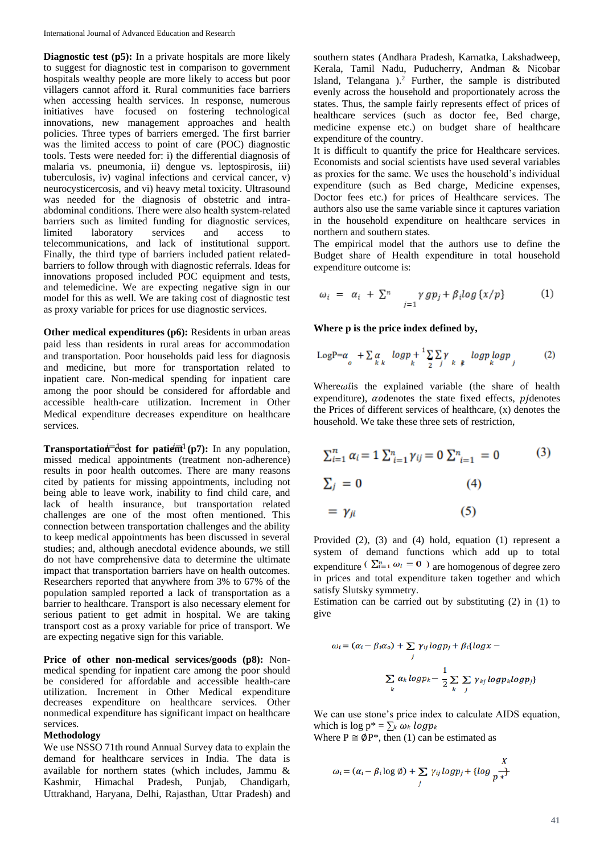**Diagnostic test (p5):** In a private hospitals are more likely to suggest for diagnostic test in comparison to government hospitals wealthy people are more likely to access but poor villagers cannot afford it. Rural communities face barriers when accessing health services. In response, numerous initiatives have focused on fostering technological innovations, new management approaches and health policies. Three types of barriers emerged. The first barrier was the limited access to point of care (POC) diagnostic tools. Tests were needed for: i) the differential diagnosis of malaria vs. pneumonia, ii) dengue vs. leptospirosis, iii) tuberculosis, iv) vaginal infections and cervical cancer, v) neurocysticercosis, and vi) heavy metal toxicity. Ultrasound was needed for the diagnosis of obstetric and intraabdominal conditions. There were also health system-related barriers such as limited funding for diagnostic services, limited laboratory services and access to telecommunications, and lack of institutional support. Finally, the third type of barriers included patient relatedbarriers to follow through with diagnostic referrals. Ideas for innovations proposed included POC equipment and tests, and telemedicine. We are expecting negative sign in our model for this as well. We are taking cost of diagnostic test as proxy variable for prices for use diagnostic services.

**Other medical expenditures (p6):** Residents in urban areas paid less than residents in rural areas for accommodation and transportation. Poor households paid less for diagnosis and medicine, but more for transportation related to inpatient care. Non-medical spending for inpatient care among the poor should be considered for affordable and accessible health-care utilization. Increment in Other Medical expenditure decreases expenditure on healthcare services.

**Transportation -**  $\frac{1}{2}$  **cost for patient (p7):** In any population, missed medical appointments (treatment non-adherence) results in poor health outcomes. There are many reasons cited by patients for missing appointments, including not being able to leave work, inability to find child care, and lack of health insurance, but transportation related challenges are one of the most often mentioned. This connection between transportation challenges and the ability to keep medical appointments has been discussed in several studies; and, although anecdotal evidence abounds, we still do not have comprehensive data to determine the ultimate impact that transportation barriers have on health outcomes. Researchers reported that anywhere from 3% to 67% of the population sampled reported a lack of transportation as a barrier to healthcare. Transport is also necessary element for serious patient to get admit in hospital. We are taking transport cost as a proxy variable for price of transport. We are expecting negative sign for this variable.

**Price of other non-medical services/goods (p8):** Nonmedical spending for inpatient care among the poor should be considered for affordable and accessible health-care utilization. Increment in Other Medical expenditure decreases expenditure on healthcare services. Other nonmedical expenditure has significant impact on healthcare services.

## **Methodology**

We use NSSO 71th round Annual Survey data to explain the demand for healthcare services in India. The data is available for northern states (which includes, Jammu & Kashmir, Himachal Pradesh, Punjab, Chandigarh, Uttrakhand, Haryana, Delhi, Rajasthan, Uttar Pradesh) and

southern states (Andhara Pradesh, Karnatka, Lakshadweep, Kerala, Tamil Nadu, Puducherry, Andman & Nicobar Island, Telangana ).<sup>2</sup> Further, the sample is distributed evenly across the household and proportionately across the states. Thus, the sample fairly represents effect of prices of healthcare services (such as doctor fee, Bed charge, medicine expense etc.) on budget share of healthcare expenditure of the country.

It is difficult to quantify the price for Healthcare services. Economists and social scientists have used several variables as proxies for the same. We uses the household's individual expenditure (such as Bed charge, Medicine expenses, Doctor fees etc.) for prices of Healthcare services. The authors also use the same variable since it captures variation in the household expenditure on healthcare services in northern and southern states.

The empirical model that the authors use to define the Budget share of Health expenditure in total household expenditure outcome is:

$$
\omega_i = \alpha_i + \sum_{j=1}^n \gamma g p_j + \beta_i \log \{x/p\} \tag{1}
$$

**Where p is the price index defined by,**

$$
\text{LogP}= \alpha_{o} + \sum_{k} \alpha_{k} log p_{k} + \frac{1}{2} \sum_{j} \sum_{k} \gamma_{k} log p_{k} log p_{j}
$$
 (2)

Where $\omega$ *i* is the explained variable (the share of health expenditure),  $a$ odenotes the state fixed effects,  $p$ *j* denotes the Prices of different services of healthcare, (x) denotes the household. We take these three sets of restriction,

$$
\sum_{i=1}^{n} \alpha_i = 1 \sum_{i=1}^{n} \gamma_{ij} = 0 \sum_{i=1}^{n} = 0
$$
 (3)  

$$
\sum_{j} = 0
$$
 (4)

$$
=\gamma_{ji}\tag{5}
$$

Provided (2), (3) and (4) hold, equation (1) represent a system of demand functions which add up to total expenditure ( $\Sigma_{i=1}^n \omega_i = 0$ ) are homogenous of degree zero in prices and total expenditure taken together and which satisfy Slutsky symmetry.

Estimation can be carried out by substituting (2) in (1) to give

$$
\omega_i = (\alpha_i - \beta_i \alpha_o) + \sum_j \gamma_{ij} \log p_j + \beta_i \{ \log x -
$$
  
\n
$$
\sum_i \alpha_k \log p_k - \frac{1}{2} \sum_k \sum_j \gamma_{kj} \log p_k \log p_j \}
$$

We can use stone's price index to calculate AIDS equation, which is  $\log p^* = \sum_k \omega_k log p_k$ 

Where  $P \cong \emptyset P^*$ , then (1) can be estimated as

$$
\omega_i = (\alpha_i - \beta_i \log \emptyset) + \sum_j \gamma_{ij} \log p_j + \{ \log \frac{X}{p^*}\}
$$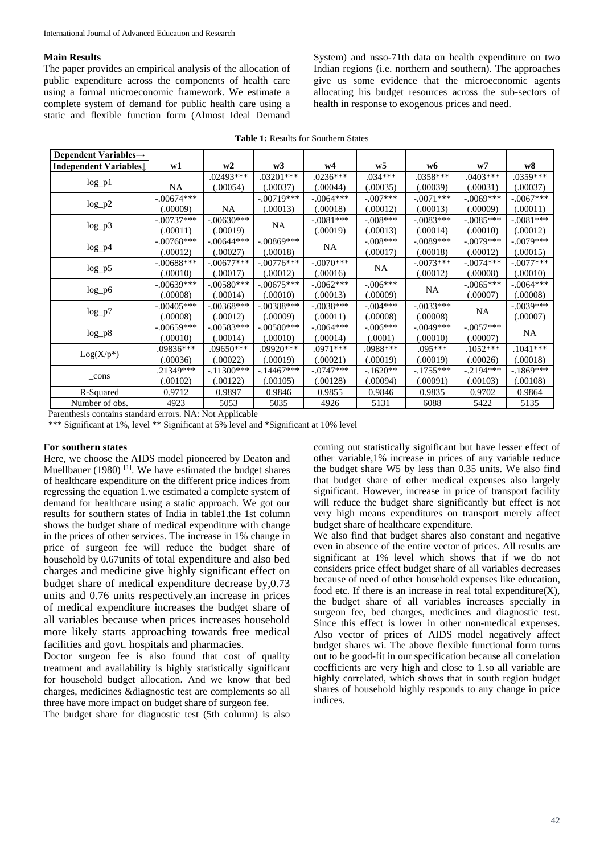### **Main Results**

The paper provides an empirical analysis of the allocation of public expenditure across the components of health care using a formal microeconomic framework. We estimate a complete system of demand for public health care using a static and flexible function form (Almost Ideal Demand System) and nsso-71th data on health expenditure on two Indian regions (i.e. northern and southern). The approaches give us some evidence that the microeconomic agents allocating his budget resources across the sub-sectors of health in response to exogenous prices and need.

| Dependent Variables $\rightarrow$ |              |              |              |              |                         |             |             |             |
|-----------------------------------|--------------|--------------|--------------|--------------|-------------------------|-------------|-------------|-------------|
| Independent Variables↓            | w1           | w2           | w3           | w4           | W <sub>5</sub>          | w6          | w7          | w8          |
|                                   |              | .02493***    | $.03201***$  | $.0236***$   | $.034***$               | .0358***    | $.0403***$  | .0359***    |
| $log_p1$                          | <b>NA</b>    | (.00054)     | (.00037)     | (.00044)     | (.00035)                | (.00039)    | (.00031)    | (.00037)    |
|                                   | $-.00674***$ |              | $-.00719***$ | $-.0064***$  | $-.007***$              | $-.0071***$ | $-.0069***$ | $-.0067***$ |
| $log_p2$                          | (.00009)     | NA           | (.00013)     | (.00018)     | (.00012)                | (.00013)    | (.00009)    | (.00011)    |
|                                   | $-.00737***$ | $-.00630***$ |              | $-.0081***$  | $-.008***$              | $-.0083***$ | $-.0085***$ | $-.0081***$ |
| $log_p^3$                         | (.00011)     | (.00019)     | NA           | (.00019)     | (.00013)                | (.00014)    | (.00010)    | (.00012)    |
|                                   | $-.00768***$ | $-.00644***$ | $-.00869***$ | <b>NA</b>    | $-.008***$              | $-.0089***$ | $-.0079***$ | $-.0079***$ |
| $log_p 4$                         | (.00012)     | (.00027)     | (.00018)     |              | (.00017)                | (.00018)    | (.00012)    | (.00015)    |
|                                   | $-.00688***$ | $-.00677***$ | $-.00776***$ | $-.0070$ *** | $-.0073***$             | $-.0074***$ | $-.0077***$ |             |
| $log_p 5$                         | (.00010)     | (.00017)     | (.00012)     | (.00016)     | NA                      | (.00012)    | (.00008)    | (.00010)    |
| $log_p 6$                         | $-.00639***$ | $-.00580***$ | $-.00675***$ | $-.0062***$  | $-.006***$<br><b>NA</b> |             | $-.0065***$ | $-.0064***$ |
|                                   | (.00008)     | (.00014)     | (.00010)     | (.00013)     | (.00009)                |             | (.00007)    | (.00008)    |
| $log_p 7$                         | $-.00405***$ | $-.00368***$ | $-.00388***$ | $-.0038***$  | $-.004***$              | $-.0033***$ |             | $-.0039***$ |
|                                   | (.00008)     | (.00012)     | (.00009)     | (.00011)     | (.00008)                | (.00008)    | NA.         | (.00007)    |
| $log_p8$                          | $-.00659***$ | $-.00583***$ | $-.00580***$ | $-.0064***$  | $-.006***$              | $-.0049***$ | $-.0057***$ | NA.         |
|                                   | (.00010)     | (.00014)     | (.00010)     | (.00014)     | (.0001)                 | (.00010)    | (.00007)    |             |
| $Log(X/p^*)$                      | .09836***    | .09650***    | .09920***    | .0971***     | .0988***                | $.095***$   | $.1052***$  | $.1041***$  |
|                                   | (.00036)     | (.00022)     | (.00019)     | (.00021)     | (.00019)                | (.00019)    | (.00026)    | (.00018)    |
| _cons                             | .21349***    | $-.11300***$ | $-14467***$  | $-.0747***$  | $-1620**$               | $-1755***$  | $-.2194***$ | $-1869***$  |
|                                   | (.00102)     | (.00122)     | (.00105)     | (.00128)     | (.00094)                | (.00091)    | (.00103)    | (.00108)    |
| R-Squared                         | 0.9712       | 0.9897       | 0.9846       | 0.9855       | 0.9846                  | 0.9835      | 0.9702      | 0.9864      |
| Number of obs.                    | 4923         | 5053         | 5035         | 4926         | 5131                    | 6088        | 5422        | 5135        |

**Table 1:** Results for Southern States

Parenthesis contains standard errors. NA: Not Applicable

\*\*\* Significant at 1%, level \*\* Significant at 5% level and \*Significant at 10% level

## **For southern states**

Here, we choose the AIDS model pioneered by Deaton and Muellbauer (1980)<sup>[1]</sup>. We have estimated the budget shares of healthcare expenditure on the different price indices from regressing the equation 1.we estimated a complete system of demand for healthcare using a static approach. We got our results for southern states of India in table1.the 1st column shows the budget share of medical expenditure with change in the prices of other services. The increase in 1% change in price of surgeon fee will reduce the budget share of household by 0.67units of total expenditure and also bed charges and medicine give highly significant effect on budget share of medical expenditure decrease by,0.73 units and 0.76 units respectively.an increase in prices of medical expenditure increases the budget share of all variables because when prices increases household more likely starts approaching towards free medical facilities and govt. hospitals and pharmacies.

Doctor surgeon fee is also found that cost of quality treatment and availability is highly statistically significant for household budget allocation. And we know that bed charges, medicines &diagnostic test are complements so all three have more impact on budget share of surgeon fee.

The budget share for diagnostic test (5th column) is also

coming out statistically significant but have lesser effect of other variable,1% increase in prices of any variable reduce the budget share W5 by less than 0.35 units. We also find that budget share of other medical expenses also largely significant. However, increase in price of transport facility will reduce the budget share significantly but effect is not very high means expenditures on transport merely affect budget share of healthcare expenditure.

We also find that budget shares also constant and negative even in absence of the entire vector of prices. All results are significant at 1% level which shows that if we do not considers price effect budget share of all variables decreases because of need of other household expenses like education, food etc. If there is an increase in real total expenditure $(X)$ , the budget share of all variables increases specially in surgeon fee, bed charges, medicines and diagnostic test. Since this effect is lower in other non-medical expenses. Also vector of prices of AIDS model negatively affect budget shares wi. The above flexible functional form turns out to be good-fit in our specification because all correlation coefficients are very high and close to 1.so all variable are highly correlated, which shows that in south region budget shares of household highly responds to any change in price indices.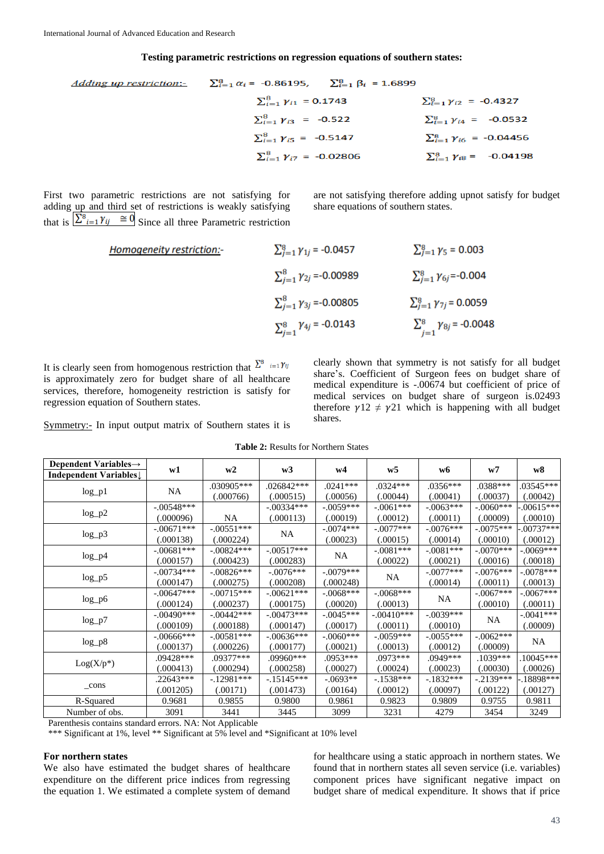#### **Testing parametric restrictions on regression equations of southern states:**

| Adding up restriction:- $\Sigma_{i=1}^{8} \alpha_i = -0.86195$ , $\Sigma_{i=1}^{8} \beta_i = 1.6899$ |                                         |                                         |  |
|------------------------------------------------------------------------------------------------------|-----------------------------------------|-----------------------------------------|--|
|                                                                                                      | $\sum_{i=1}^{8} \gamma_{i1} = 0.1743$   | $\sum_{i=1}^{8} \gamma_{i2} = -0.4327$  |  |
|                                                                                                      | $\sum_{i=1}^{8} \gamma_{i3}$ = -0.522   | $\sum_{i=1}^{8} \gamma_{i4} = -0.0532$  |  |
|                                                                                                      | $\sum_{i=1}^{8} \gamma_{i5} = -0.5147$  | $\sum_{i=1}^{8} \gamma_{i6}$ = -0.04456 |  |
|                                                                                                      | $\sum_{i=1}^{8} \gamma_{i7} = -0.02806$ | $\sum_{i=1}^{8} \gamma_{i8} = -0.04198$ |  |

First two parametric restrictions are not satisfying for adding up and third set of restrictions is weakly satisfying that is  $\sum_{i=1}^{6} Y_{ij} \equiv 0$  Since all three Parametric restriction are not satisfying therefore adding upnot satisfy for budget share equations of southern states.

**Homogeneity restriction:**

\n
$$
\sum_{j=1}^{8} \gamma_{1j} = -0.0457
$$
\n
$$
\sum_{j=1}^{8} \gamma_{2j} = -0.00989
$$
\n
$$
\sum_{j=1}^{8} \gamma_{3j} = -0.00805
$$
\n
$$
\sum_{j=1}^{8} \gamma_{4j} = -0.0143
$$
\n
$$
\sum_{j=1}^{8} \gamma_{5j} = 0.0059
$$
\n
$$
\sum_{j=1}^{8} \gamma_{6j} = -0.0059
$$
\n
$$
\sum_{j=1}^{8} \gamma_{7j} = 0.0059
$$
\n
$$
\sum_{j=1}^{8} \gamma_{8j} = -0.0048
$$

It is clearly seen from homogenous restriction that is approximately zero for budget share of all healthcare services, therefore, homogeneity restriction is satisfy for regression equation of Southern states.

Symmetry:- In input output matrix of Southern states it is

clearly shown that symmetry is not satisfy for all budget share's. Coefficient of Surgeon fees on budget share of medical expenditure is -.00674 but coefficient of price of medical services on budget share of surgeon is.02493 therefore  $\gamma$ 12  $\neq$   $\gamma$ 21 which is happening with all budget shares.

**Table 2:** Results for Northern States

| Dependent Variables $\rightarrow$  | w1            | w2           | w3           | W <sub>4</sub> | W <sub>5</sub> | w6          | w7              | w8            |
|------------------------------------|---------------|--------------|--------------|----------------|----------------|-------------|-----------------|---------------|
| Independent Variables $\downarrow$ |               |              |              |                |                |             |                 |               |
|                                    |               | .030905***   | $.026842***$ | $.0241***$     | $.0324***$     | $.0356***$  | .0388***        | $.03545***$   |
| $log_p1$                           | <b>NA</b>     | (.000766)    | (.000515)    | (.00056)       | (.00044)       | (.00041)    | (.00037)        | (.00042)      |
|                                    | $-.00548***$  |              | $-.00334***$ | $-.0059***$    | $-.0061***$    | $-.0063***$ | $-.0060***$     | $-0.00615***$ |
| $log_p2$                           | (.000096)     | <b>NA</b>    | (.000113)    | (.00019)       | (.00012)       | (.00011)    | (.00009)        | (.00010)      |
|                                    | $-.00671***$  | $-.00551***$ |              | $-.0074***$    | $-.0077***$    | $-.0076***$ | $-.0075***$     | $.00737***$   |
| $log_p^3$                          | (.000138)     | (.000224)    | NA.          | (.00023)       | (.00015)       | (.00014)    | (.00010)        | (.00012)      |
|                                    | $-.00681***$  | $-.00824***$ | $-.00517***$ |                | $-.0081***$    | $-.0081***$ | $-.0070***$     | $-.0069***$   |
| $log_p 4$                          | (.000157)     | (.000423)    | (.000283)    | NA.            | (.00022)       | (.00021)    | (.00016)        | (.00018)      |
|                                    | $-.00734***$  | $-.00826***$ | $-.0076***$  | $-.0079***$    |                | $-.0077***$ | $-.0076***$     | $-.0078***$   |
| $log_p 5$                          | (.000147)     | (.000275)    | (.000208)    | (.000248)      | NA             | (.00014)    | (.00011)        | (.00013)      |
|                                    | $-.00647***$  | $-.00715***$ | $-.00621***$ | $-.0068***$    | $-.0068***$    | NA          | $-.0067***$     | $-.0067***$   |
| $log_p 6$                          | (.000124)     | (.000237)    | (.000175)    | (.00020)       | (.00013)       |             | (.00010)        | (.00011)      |
|                                    | $-.00490***$  | $-.00442***$ | $-.00473***$ | $-.0045***$    | $-.00410***$   | $-.0039***$ | NA.<br>(.00010) | $-.0041***$   |
| $log_p 7$                          | (.000109)     | (.000188)    | (.000147)    | (.00017)       | (.00011)       |             |                 | (.00009)      |
|                                    | $-.00666$ *** | $-.00581***$ | $-.00636***$ | $-.0060***$    | $-.0059***$    | $-.0055***$ | $-.0062***$     | NA.           |
| $log_p8$                           | (.000137)     | (.000226)    | (.000177)    | (.00021)       | (.00013)       | (.00012)    | (.00009)        |               |
|                                    | .09428***     | .09377***    | .09960***    | $.0953***$     | $.0973***$     | .0949***    | $.1039***$      | $.10045***$   |
| $Log(X/p^*)$                       | (.000413)     | (.000294)    | (.000258)    | (.00027)       | (.00024)       | (.00023)    | (.00030)        | (.00026)      |
| $_{\rm cons}$                      | $.22643***$   | $-.12981***$ | $-.15145***$ | $-.0693**$     | $-1538***$     | $-1832***$  | $-.2139***$     | $-18898***$   |
|                                    | (.001205)     | (.00171)     | (.001473)    | (.00164)       | (.00012)       | (.00097)    | (.00122)        | (.00127)      |
| R-Squared                          | 0.9681        | 0.9855       | 0.9800       | 0.9861         | 0.9823         | 0.9809      | 0.9755          | 0.9811        |
| Number of obs.                     | 3091          | 3441         | 3445         | 3099           | 3231           | 4279        | 3454            | 3249          |

Parenthesis contains standard errors. NA: Not Applicable

\*\*\* Significant at 1%, level \*\* Significant at 5% level and \*Significant at 10% level

### **For northern states**

We also have estimated the budget shares of healthcare expenditure on the different price indices from regressing the equation 1. We estimated a complete system of demand

for healthcare using a static approach in northern states. We found that in northern states all seven service (i.e. variables) component prices have significant negative impact on budget share of medical expenditure. It shows that if price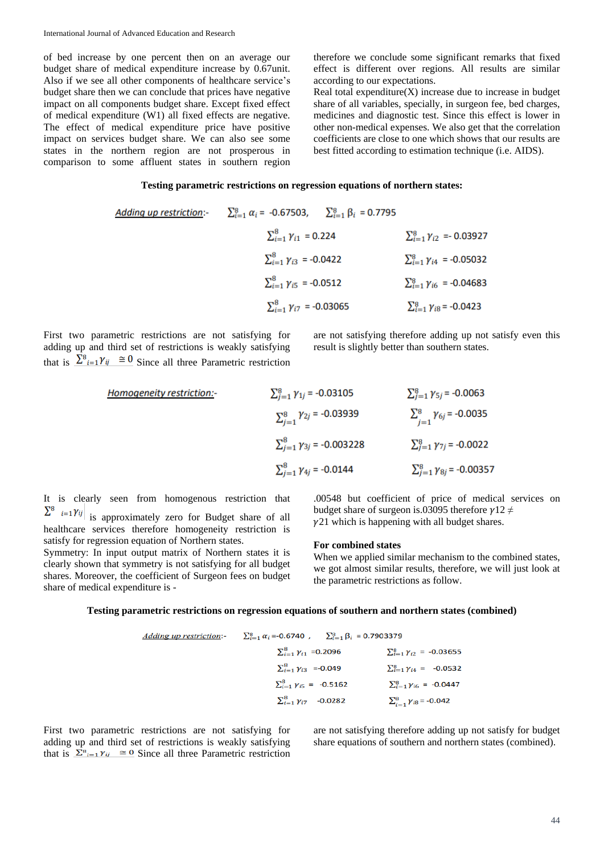of bed increase by one percent then on an average our budget share of medical expenditure increase by 0.67unit. Also if we see all other components of healthcare service's budget share then we can conclude that prices have negative impact on all components budget share. Except fixed effect of medical expenditure (W1) all fixed effects are negative. The effect of medical expenditure price have positive impact on services budget share. We can also see some states in the northern region are not prosperous in comparison to some affluent states in southern region

therefore we conclude some significant remarks that fixed effect is different over regions. All results are similar according to our expectations.

Real total expenditure $(X)$  increase due to increase in budget share of all variables, specially, in surgeon fee, bed charges, medicines and diagnostic test. Since this effect is lower in other non-medical expenses. We also get that the correlation coefficients are close to one which shows that our results are best fitted according to estimation technique (i.e. AIDS).

## **Testing parametric restrictions on regression equations of northern states:**

| Adding up restriction:                                                                   | \n $\sum_{i=1}^{8} \alpha_i = -0.67503, \quad \sum_{i=1}^{8} \beta_i = 0.7795$ \n |
|------------------------------------------------------------------------------------------|-----------------------------------------------------------------------------------|
| \n $\sum_{i=1}^{8} \gamma_{i1} = 0.224 \quad \sum_{i=1}^{8} \gamma_{i2} = -0.03927$ \n   |                                                                                   |
| \n $\sum_{i=1}^{8} \gamma_{i3} = -0.0422 \quad \sum_{i=1}^{8} \gamma_{i4} = -0.05032$ \n |                                                                                   |
| \n $\sum_{i=1}^{8} \gamma_{i5} = -0.0512 \quad \sum_{i=1}^{8} \gamma_{i6} = -0.04683$ \n |                                                                                   |
| \n $\sum_{i=1}^{8} \gamma_{i7} = -0.03065 \quad \sum_{i=1}^{8} \gamma_{i8} = -0.0423$ \n |                                                                                   |

First two parametric restrictions are not satisfying for adding up and third set of restrictions is weakly satisfying that is  $\Sigma^8_{i=1} \gamma_{ij} \cong 0$  Since all three Parametric restriction are not satisfying therefore adding up not satisfy even this result is slightly better than southern states.

**Homogeneity restriction:**

\n
$$
\sum_{j=1}^{8} \gamma_{1j} = -0.03105
$$
\n
$$
\sum_{j=1}^{8} \gamma_{2j} = -0.03939
$$
\n
$$
\sum_{j=1}^{8} \gamma_{6j} = -0.0035
$$
\n
$$
\sum_{j=1}^{8} \gamma_{3j} = -0.003228
$$
\n
$$
\sum_{j=1}^{8} \gamma_{7j} = -0.0022
$$
\n
$$
\sum_{j=1}^{8} \gamma_{4j} = -0.0144
$$
\n
$$
\sum_{j=1}^{8} \gamma_{8j} = -0.00357
$$

It is clearly seen from homogenous restriction that  $\sum_{i=1}^8 i = 1$  *Yij* is approximately zero for Budget share of all healthcare services therefore homogeneity restriction is

Symmetry: In input output matrix of Northern states it is clearly shown that symmetry is not satisfying for all budget shares. Moreover, the coefficient of Surgeon fees on budget

satisfy for regression equation of Northern states.

share of medical expenditure is -

.00548 but coefficient of price of medical services on budget share of surgeon is.03095 therefore  $\gamma$ 12  $\neq$  $\gamma$ 21 which is happening with all budget shares.

#### **For combined states**

When we applied similar mechanism to the combined states, we got almost similar results, therefore, we will just look at the parametric restrictions as follow.

#### **Testing parametric restrictions on regression equations of southern and northern states (combined)**

| Adding up restriction:                 | $\sum_{i=1}^{8} \alpha_i = -0.6740$ , $\sum_{i=1}^{8} \beta_i = 0.7903379$ |
|----------------------------------------|----------------------------------------------------------------------------|
| $\sum_{i=1}^{8} \gamma_{i1} = 0.2096$  | $\sum_{i=1}^{8} \gamma_{i2} = -0.03655$                                    |
| $\sum_{i=1}^{8} \gamma_{i3} = -0.049$  | $\sum_{i=1}^{8} \gamma_{i4} = -0.0532$                                     |
| $\sum_{i=1}^{8} \gamma_{i5} = -0.5162$ | $\sum_{i=1}^{8} \gamma_{i6} = -0.0447$                                     |
| $\sum_{i=1}^{8} \gamma_{i7} = -0.0282$ | $\sum_{i=1}^{8} \gamma_{i8} = -0.042$                                      |

First two parametric restrictions are not satisfying for adding up and third set of restrictions is weakly satisfying that is  $\Sigma^{\mathbf{8}}_{i=1} \gamma_{ij} \cong 0$  Since all three Parametric restriction

are not satisfying therefore adding up not satisfy for budget share equations of southern and northern states (combined).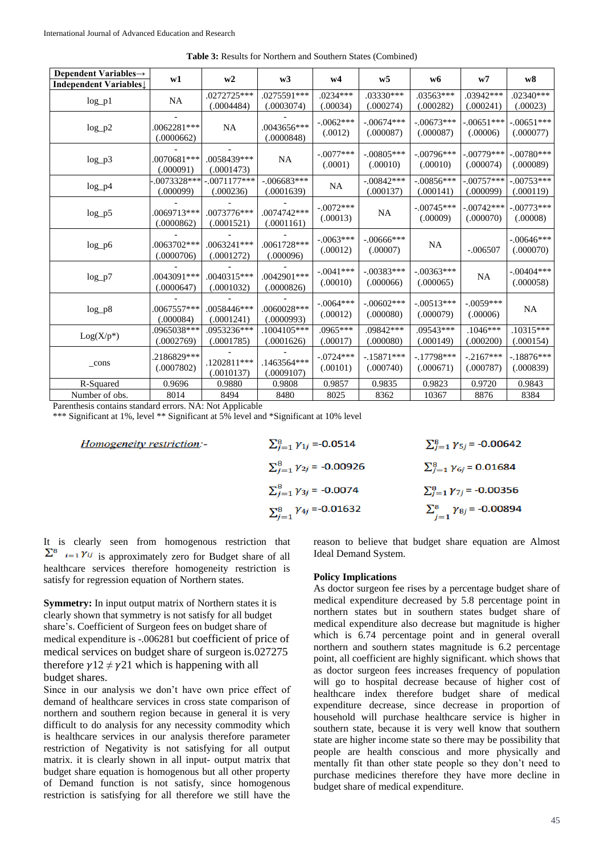| Dependent Variables $\rightarrow$ |                           |                |                           |                         |                |                              |                         |                           |
|-----------------------------------|---------------------------|----------------|---------------------------|-------------------------|----------------|------------------------------|-------------------------|---------------------------|
| Independent Variables             | w1                        | w2             | w3                        | w4                      | W <sub>5</sub> | w6                           | W <sub>7</sub>          | W8                        |
|                                   | <b>NA</b>                 | .0272725***    | .0275591***               | $.0234***$              | .03330***      | .03563***                    | .03942***               | $.02340***$               |
| $log_p1$                          |                           | (.0004484)     | (.0003074)                | (.00034)                | (.000274)      | (.000282)                    | (.000241)               | (.00023)                  |
|                                   |                           |                |                           | $-.0062***$             | $-.00674***$   | $-.00673***$                 | $-.00651***$            | $-.00651***$              |
| $log_p2$                          | .0062281***<br>(.0000662) | <b>NA</b>      | .0043656***<br>(.0000848) | (.0012)                 | (.000087)      | (.000087)                    | (.00006)                | (.000077)                 |
|                                   |                           |                |                           |                         |                |                              |                         |                           |
| $log_p3$                          | .0070681***               | .0058439***    | <b>NA</b>                 | $-.0077***$             | $-.00805***$   | $-.00796***$                 | $-.00779***$            | $-.00780***$              |
|                                   | (.000091)                 | (.0001473)     |                           | (.0001)                 | (.00010)       | (.00010)                     | (.000074)               | (.000089)                 |
| $log_p4$                          | $-0073328***$             | $-.0071177***$ | $-.006683***$             | NA                      | $-0.0842***$   | $-.00856***$                 | $-.00757***$            | $-.00753***$              |
|                                   | (.000099)                 | (.000236)      | (.0001639)                |                         | (.000137)      | (.000141)                    | (.000099)               | (.000119)                 |
|                                   |                           |                |                           | $-.0072***$<br>(.00013) | <b>NA</b>      | $-.00745***$                 | $-.00742***$            | $-.00773***$              |
| $log_p5$                          | .0069713***               | .0073776***    | .0074742***               |                         |                | (.00009)                     | (.000070)               | (.00008)                  |
|                                   | (.0000862)                | (.0001521)     | (.0001161)                |                         |                |                              |                         |                           |
| $log_p 6$                         | .0063702***               | .0063241***    | .0061728 ***              | $-.0063***$             | $-.00666$ ***  | <b>NA</b>                    |                         | $-.00646***$              |
|                                   | (.0000706)                | (.0001272)     | (.000096)                 | (.00012)<br>(.00007)    |                | $-.006507$                   | (.000070)               |                           |
|                                   |                           |                |                           | $-.0041***$<br>(.00010) |                | $-.00383***$<br>$-.00363***$ |                         |                           |
| $log_p 7$                         | .0043091***               | .0040315***    | .0042901***               |                         | (.000066)      | (.000065)                    | <b>NA</b>               | $-.00404***$<br>(.000058) |
|                                   | (.0000647)                | (.0001032)     | (.0000826)                |                         |                |                              |                         |                           |
|                                   |                           |                |                           | $-.0064***$             | $-.00602***$   | $-.00513***$                 | $-.0059***$<br>(.00006) |                           |
| $log_p8$                          | $.0067557***$             | .0058446***    | .0060028***               | (.00012)                | (.000080)      | (.000079)                    |                         | NA                        |
|                                   | (.000084)                 | (.0001241)     | (.0000993)                | $.0965***$              | $.09842***$    | .09543***                    | $.1046***$              | .10315***                 |
| $Log(X/p^*)$                      | .0965038***               | .0953236***    | .1004105***               |                         |                |                              | (.000200)               |                           |
|                                   | (.0002769)                | (.0001785)     | (.0001626)                | (.00017)                | (.000080)      | (.000149)                    |                         | (.000154)                 |
| _cons                             | .2186829***               | .1202811***    | .1463564***               | $-.0724***$             | $-.15871***$   | $-17798***$                  | $-.2167***$             | $-.18876***$              |
|                                   | (.0007802)                | (.0010137)     | (.0009107)                | (.00101)                | (.000740)      | (.000671)                    | (.000787)               | (.000839)                 |
| R-Squared                         | 0.9696                    | 0.9880         | 0.9808                    | 0.9857                  | 0.9835         | 0.9823                       | 0.9720                  | 0.9843                    |
| Number of obs.                    | 8014                      | 8494           | 8480                      | 8025                    | 8362           | 10367                        | 8876                    | 8384                      |

**Table 3:** Results for Northern and Southern States (Combined)

Parenthesis contains standard errors. NA: Not Applicable

\*\*\* Significant at 1%, level \*\* Significant at 5% level and \*Significant at 10% level

|  | <i>Homogeneity restriction:</i> |
|--|---------------------------------|
|  |                                 |

| $\sum_{i=1}^{8} \gamma_{1i} = -0.0514$  | $\sum_{i=1}^{8} \gamma_{5i} = -0.00642$ |
|-----------------------------------------|-----------------------------------------|
| $\sum_{j=1}^{8} \gamma_{2j} = -0.00926$ | $\sum_{j=1}^{8} \gamma_{6j} = 0.01684$  |
| $\sum_{j=1}^{8} \gamma_{3j}$ = -0.0074  | $\sum_{j=1}^{8} \gamma_{7j} = -0.00356$ |
| $\sum_{j=1}^{8} \gamma_{4j} = -0.01632$ | $\sum_{j=1}^{8} \gamma_{8j} = -0.00894$ |

It is clearly seen from homogenous restriction that  $\sum_{i=1}^8$   $i=1$   $\gamma_{ij}$  is approximately zero for Budget share of all healthcare services therefore homogeneity restriction is satisfy for regression equation of Northern states.

**Symmetry:** In input output matrix of Northern states it is clearly shown that symmetry is not satisfy for all budget share's. Coefficient of Surgeon fees on budget share of medical expenditure is -.006281 but coefficient of price of medical services on budget share of surgeon is.027275 therefore  $\gamma$ 12  $\neq$   $\gamma$ 21 which is happening with all budget shares.

Since in our analysis we don't have own price effect of demand of healthcare services in cross state comparison of northern and southern region because in general it is very difficult to do analysis for any necessity commodity which is healthcare services in our analysis therefore parameter restriction of Negativity is not satisfying for all output matrix. it is clearly shown in all input- output matrix that budget share equation is homogenous but all other property of Demand function is not satisfy, since homogenous restriction is satisfying for all therefore we still have the

reason to believe that budget share equation are Almost Ideal Demand System.

#### **Policy Implications**

As doctor surgeon fee rises by a percentage budget share of medical expenditure decreased by 5.8 percentage point in northern states but in southern states budget share of medical expenditure also decrease but magnitude is higher which is 6.74 percentage point and in general overall northern and southern states magnitude is 6.2 percentage point, all coefficient are highly significant. which shows that as doctor surgeon fees increases frequency of population will go to hospital decrease because of higher cost of healthcare index therefore budget share of medical expenditure decrease, since decrease in proportion of household will purchase healthcare service is higher in southern state, because it is very well know that southern state are higher income state so there may be possibility that people are health conscious and more physically and mentally fit than other state people so they don't need to purchase medicines therefore they have more decline in budget share of medical expenditure.